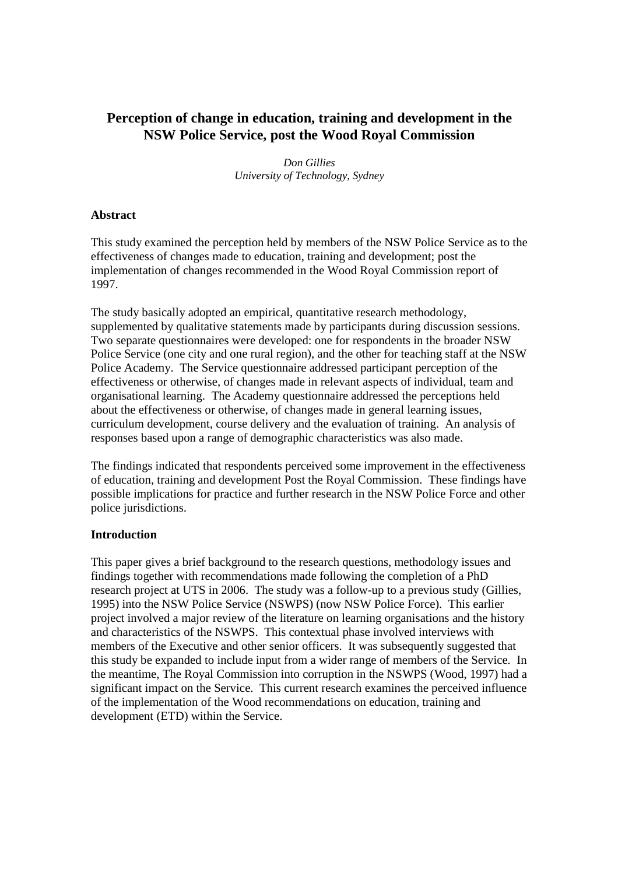# **Perception of change in education, training and development in the NSW Police Service, post the Wood Royal Commission**

*Don Gillies University of Technology, Sydney* 

### **Abstract**

This study examined the perception held by members of the NSW Police Service as to the effectiveness of changes made to education, training and development; post the implementation of changes recommended in the Wood Royal Commission report of 1997.

The study basically adopted an empirical, quantitative research methodology, supplemented by qualitative statements made by participants during discussion sessions. Two separate questionnaires were developed: one for respondents in the broader NSW Police Service (one city and one rural region), and the other for teaching staff at the NSW Police Academy. The Service questionnaire addressed participant perception of the effectiveness or otherwise, of changes made in relevant aspects of individual, team and organisational learning. The Academy questionnaire addressed the perceptions held about the effectiveness or otherwise, of changes made in general learning issues, curriculum development, course delivery and the evaluation of training. An analysis of responses based upon a range of demographic characteristics was also made.

The findings indicated that respondents perceived some improvement in the effectiveness of education, training and development Post the Royal Commission. These findings have possible implications for practice and further research in the NSW Police Force and other police jurisdictions.

### **Introduction**

This paper gives a brief background to the research questions, methodology issues and findings together with recommendations made following the completion of a PhD research project at UTS in 2006. The study was a follow-up to a previous study (Gillies, 1995) into the NSW Police Service (NSWPS) (now NSW Police Force). This earlier project involved a major review of the literature on learning organisations and the history and characteristics of the NSWPS. This contextual phase involved interviews with members of the Executive and other senior officers. It was subsequently suggested that this study be expanded to include input from a wider range of members of the Service. In the meantime, The Royal Commission into corruption in the NSWPS (Wood, 1997) had a significant impact on the Service. This current research examines the perceived influence of the implementation of the Wood recommendations on education, training and development (ETD) within the Service.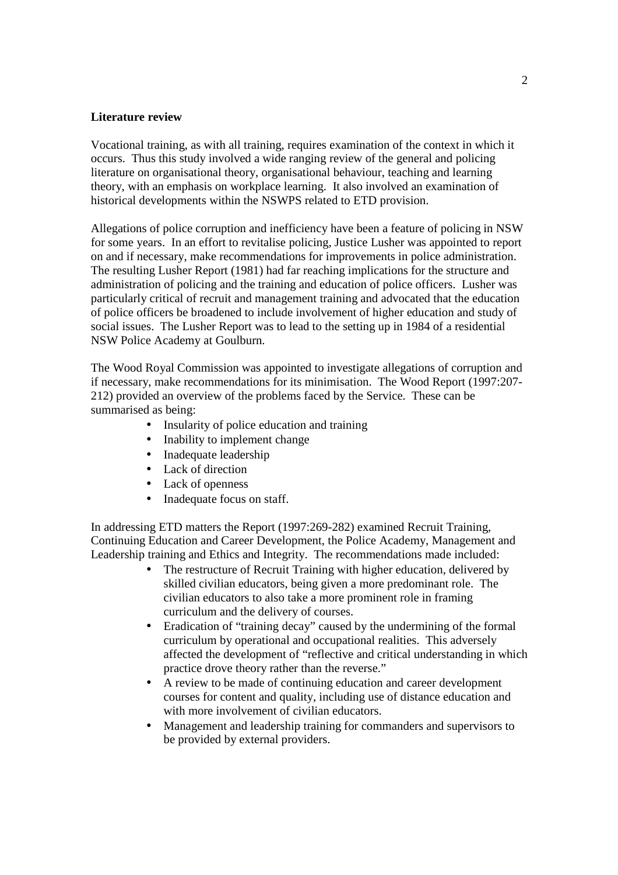#### **Literature review**

Vocational training, as with all training, requires examination of the context in which it occurs. Thus this study involved a wide ranging review of the general and policing literature on organisational theory, organisational behaviour, teaching and learning theory, with an emphasis on workplace learning. It also involved an examination of historical developments within the NSWPS related to ETD provision.

Allegations of police corruption and inefficiency have been a feature of policing in NSW for some years. In an effort to revitalise policing, Justice Lusher was appointed to report on and if necessary, make recommendations for improvements in police administration. The resulting Lusher Report (1981) had far reaching implications for the structure and administration of policing and the training and education of police officers. Lusher was particularly critical of recruit and management training and advocated that the education of police officers be broadened to include involvement of higher education and study of social issues. The Lusher Report was to lead to the setting up in 1984 of a residential NSW Police Academy at Goulburn.

The Wood Royal Commission was appointed to investigate allegations of corruption and if necessary, make recommendations for its minimisation. The Wood Report (1997:207- 212) provided an overview of the problems faced by the Service. These can be summarised as being:

- Insularity of police education and training
- Inability to implement change
- Inadequate leadership
- Lack of direction
- Lack of openness
- Inadequate focus on staff.

In addressing ETD matters the Report (1997:269-282) examined Recruit Training, Continuing Education and Career Development, the Police Academy, Management and Leadership training and Ethics and Integrity. The recommendations made included:

- The restructure of Recruit Training with higher education, delivered by skilled civilian educators, being given a more predominant role. The civilian educators to also take a more prominent role in framing curriculum and the delivery of courses.
- Eradication of "training decay" caused by the undermining of the formal curriculum by operational and occupational realities. This adversely affected the development of "reflective and critical understanding in which practice drove theory rather than the reverse."
- A review to be made of continuing education and career development courses for content and quality, including use of distance education and with more involvement of civilian educators.
- Management and leadership training for commanders and supervisors to be provided by external providers.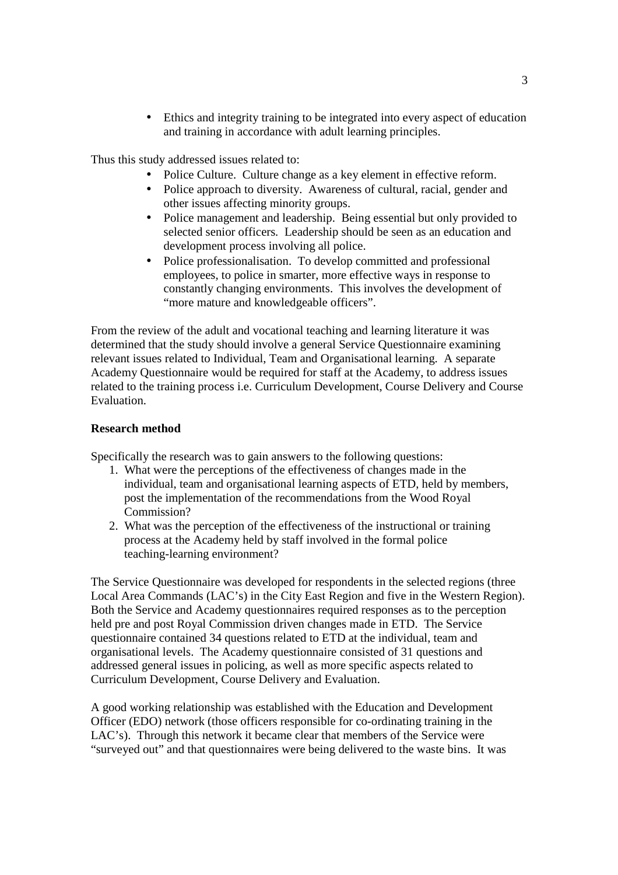• Ethics and integrity training to be integrated into every aspect of education and training in accordance with adult learning principles.

Thus this study addressed issues related to:

- Police Culture. Culture change as a key element in effective reform.
- Police approach to diversity. Awareness of cultural, racial, gender and other issues affecting minority groups.
- Police management and leadership. Being essential but only provided to selected senior officers. Leadership should be seen as an education and development process involving all police.
- Police professionalisation. To develop committed and professional employees, to police in smarter, more effective ways in response to constantly changing environments. This involves the development of "more mature and knowledgeable officers".

From the review of the adult and vocational teaching and learning literature it was determined that the study should involve a general Service Questionnaire examining relevant issues related to Individual, Team and Organisational learning. A separate Academy Questionnaire would be required for staff at the Academy, to address issues related to the training process i.e. Curriculum Development, Course Delivery and Course Evaluation.

#### **Research method**

Specifically the research was to gain answers to the following questions:

- 1. What were the perceptions of the effectiveness of changes made in the individual, team and organisational learning aspects of ETD, held by members, post the implementation of the recommendations from the Wood Royal Commission?
- 2. What was the perception of the effectiveness of the instructional or training process at the Academy held by staff involved in the formal police teaching-learning environment?

The Service Questionnaire was developed for respondents in the selected regions (three Local Area Commands (LAC's) in the City East Region and five in the Western Region). Both the Service and Academy questionnaires required responses as to the perception held pre and post Royal Commission driven changes made in ETD. The Service questionnaire contained 34 questions related to ETD at the individual, team and organisational levels. The Academy questionnaire consisted of 31 questions and addressed general issues in policing, as well as more specific aspects related to Curriculum Development, Course Delivery and Evaluation.

A good working relationship was established with the Education and Development Officer (EDO) network (those officers responsible for co-ordinating training in the LAC's). Through this network it became clear that members of the Service were "surveyed out" and that questionnaires were being delivered to the waste bins. It was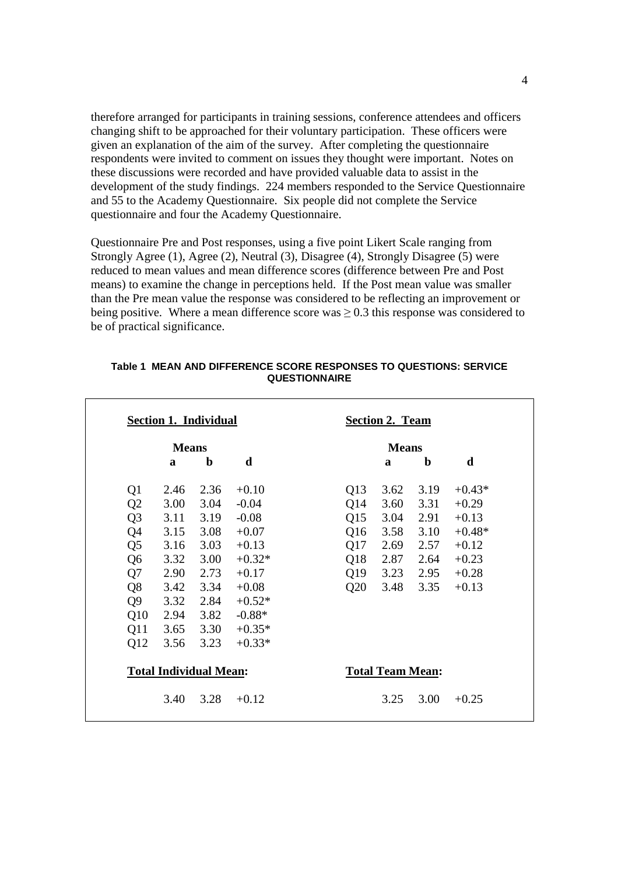therefore arranged for participants in training sessions, conference attendees and officers changing shift to be approached for their voluntary participation. These officers were given an explanation of the aim of the survey. After completing the questionnaire respondents were invited to comment on issues they thought were important. Notes on these discussions were recorded and have provided valuable data to assist in the development of the study findings. 224 members responded to the Service Questionnaire and 55 to the Academy Questionnaire. Six people did not complete the Service questionnaire and four the Academy Questionnaire.

Questionnaire Pre and Post responses, using a five point Likert Scale ranging from Strongly Agree (1), Agree (2), Neutral (3), Disagree (4), Strongly Disagree (5) were reduced to mean values and mean difference scores (difference between Pre and Post means) to examine the change in perceptions held. If the Post mean value was smaller than the Pre mean value the response was considered to be reflecting an improvement or being positive. Where a mean difference score was  $\geq 0.3$  this response was considered to be of practical significance.

| <b>Means</b>                  |      |             |          | <b>Means</b>            |      |             |          |
|-------------------------------|------|-------------|----------|-------------------------|------|-------------|----------|
|                               | a    | $\mathbf b$ | d        |                         | a    | $\mathbf b$ | d        |
| Q1                            | 2.46 | 2.36        | $+0.10$  | Q13                     | 3.62 | 3.19        | $+0.43*$ |
| Q2                            | 3.00 | 3.04        | $-0.04$  | Q14                     | 3.60 | 3.31        | $+0.29$  |
| Q <sub>3</sub>                | 3.11 | 3.19        | $-0.08$  | Q15                     | 3.04 | 2.91        | $+0.13$  |
| Q <sub>4</sub>                | 3.15 | 3.08        | $+0.07$  | Q16                     | 3.58 | 3.10        | $+0.48*$ |
| Q <sub>5</sub>                | 3.16 | 3.03        | $+0.13$  | Q17                     | 2.69 | 2.57        | $+0.12$  |
| Q <sub>6</sub>                | 3.32 | 3.00        | $+0.32*$ | Q18                     | 2.87 | 2.64        | $+0.23$  |
| Q7                            | 2.90 | 2.73        | $+0.17$  | Q19                     | 3.23 | 2.95        | $+0.28$  |
| Q <sub>8</sub>                | 3.42 | 3.34        | $+0.08$  | Q20                     | 3.48 | 3.35        | $+0.13$  |
| Q <sub>9</sub>                | 3.32 | 2.84        | $+0.52*$ |                         |      |             |          |
| Q10                           | 2.94 | 3.82        | $-0.88*$ |                         |      |             |          |
| Q11                           | 3.65 | 3.30        | $+0.35*$ |                         |      |             |          |
| Q12                           | 3.56 | 3.23        | $+0.33*$ |                         |      |             |          |
| <b>Total Individual Mean:</b> |      |             |          | <b>Total Team Mean:</b> |      |             |          |
|                               | 3.40 | 3.28        | $+0.12$  |                         | 3.25 | 3.00        | $+0.25$  |

#### **Table 1 MEAN AND DIFFERENCE SCORE RESPONSES TO QUESTIONS: SERVICE QUESTIONNAIRE**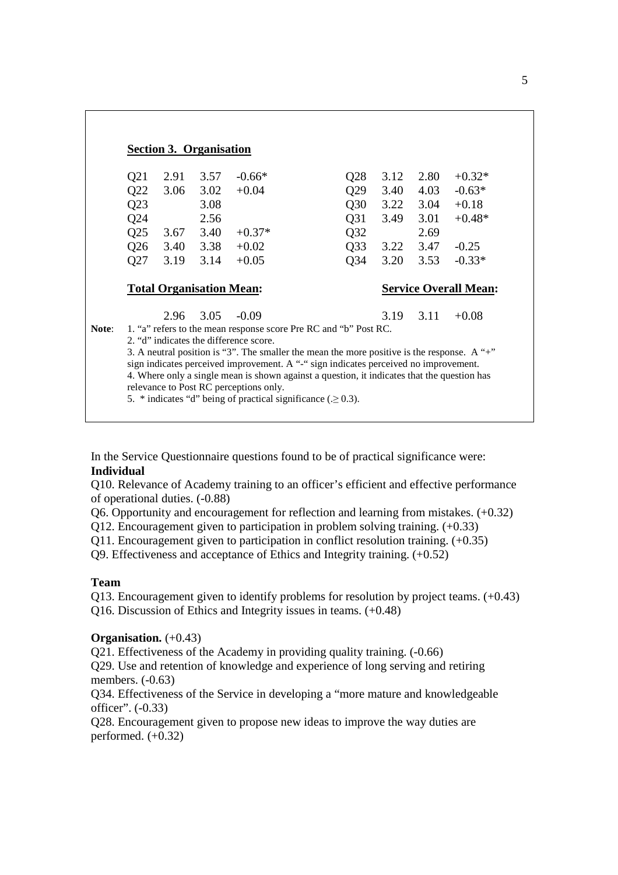|                 | <b>Section 3. Organisation</b>  |      |                                                                 |                                                                                             |      |      |                              |
|-----------------|---------------------------------|------|-----------------------------------------------------------------|---------------------------------------------------------------------------------------------|------|------|------------------------------|
| Q21             | 2.91                            | 3.57 | $-0.66*$                                                        | Q28                                                                                         | 3.12 | 2.80 | $+0.32*$                     |
| Q22             | 3.06                            | 3.02 | $+0.04$                                                         | Q29                                                                                         | 3.40 | 4.03 | $-0.63*$                     |
| Q23             |                                 | 3.08 |                                                                 | Q30                                                                                         | 3.22 | 3.04 | $+0.18$                      |
| Q24             |                                 | 2.56 |                                                                 | Q <sub>31</sub>                                                                             | 3.49 | 3.01 | $+0.48*$                     |
| Q25             | 3.67                            | 3.40 | $+0.37*$                                                        | Q32                                                                                         |      | 2.69 |                              |
| Q <sub>26</sub> | 3.40                            | 3.38 | $+0.02$                                                         | Q <sub>33</sub>                                                                             | 3.22 | 3.47 | $-0.25$                      |
| Q27             | 3.19                            | 3.14 | $+0.05$                                                         | Q <sub>34</sub>                                                                             | 3.20 | 3.53 | $-0.33*$                     |
|                 | <b>Total Organisation Mean:</b> |      |                                                                 |                                                                                             |      |      | <b>Service Overall Mean:</b> |
|                 | 2.96                            | 3.05 | $-0.09$                                                         |                                                                                             | 3.19 | 3.11 | $+0.08$                      |
|                 |                                 |      |                                                                 | 1. "a" refers to the mean response score Pre RC and "b" Post RC.                            |      |      |                              |
|                 |                                 |      | 2. "d" indicates the difference score.                          |                                                                                             |      |      |                              |
|                 |                                 |      |                                                                 | 3. A neutral position is "3". The smaller the mean the more positive is the response. A "+" |      |      |                              |
|                 |                                 |      |                                                                 | sign indicates perceived improvement. A "-" sign indicates perceived no improvement.        |      |      |                              |
|                 |                                 |      |                                                                 | 4. Where only a single mean is shown against a question, it indicates that the question has |      |      |                              |
|                 |                                 |      | relevance to Post RC perceptions only.                          |                                                                                             |      |      |                              |
|                 |                                 |      | 5. * indicates "d" being of practical significance $(0.20.3)$ . |                                                                                             |      |      |                              |

In the Service Questionnaire questions found to be of practical significance were: **Individual** 

Q10. Relevance of Academy training to an officer's efficient and effective performance of operational duties. (-0.88)

Q6. Opportunity and encouragement for reflection and learning from mistakes. (+0.32)

Q12. Encouragement given to participation in problem solving training. (+0.33)

Q11. Encouragement given to participation in conflict resolution training. (+0.35)

Q9. Effectiveness and acceptance of Ethics and Integrity training. (+0.52)

### **Team**

Q13. Encouragement given to identify problems for resolution by project teams. (+0.43) Q16. Discussion of Ethics and Integrity issues in teams. (+0.48)

### **Organisation.** (+0.43)

Q21. Effectiveness of the Academy in providing quality training. (-0.66)

Q29. Use and retention of knowledge and experience of long serving and retiring members. (-0.63)

Q34. Effectiveness of the Service in developing a "more mature and knowledgeable officer". (-0.33)

Q28. Encouragement given to propose new ideas to improve the way duties are performed.  $(+0.32)$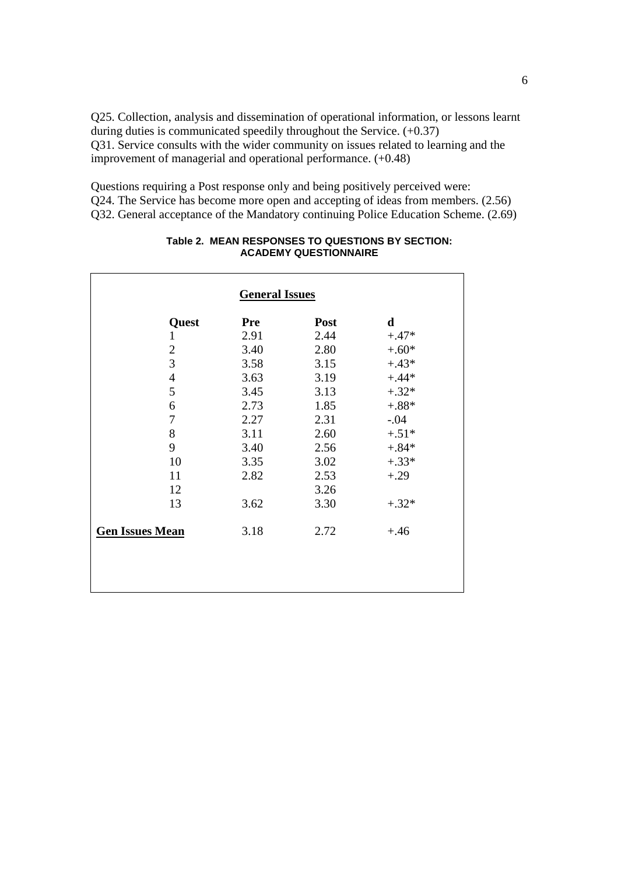Q25. Collection, analysis and dissemination of operational information, or lessons learnt during duties is communicated speedily throughout the Service. (+0.37) Q31. Service consults with the wider community on issues related to learning and the improvement of managerial and operational performance. (+0.48)

Questions requiring a Post response only and being positively perceived were: Q24. The Service has become more open and accepting of ideas from members. (2.56) Q32. General acceptance of the Mandatory continuing Police Education Scheme. (2.69)

|                          | <b>General Issues</b> |      |         |
|--------------------------|-----------------------|------|---------|
| Quest                    | <b>Pre</b>            | Post | d       |
| 1                        | 2.91                  | 2.44 | $+.47*$ |
| $\overline{2}$           | 3.40                  | 2.80 | $+.60*$ |
| $\overline{3}$           | 3.58                  | 3.15 | $+.43*$ |
| $\overline{\mathcal{L}}$ | 3.63                  | 3.19 | $+.44*$ |
| 5                        | 3.45                  | 3.13 | $+.32*$ |
| 6                        | 2.73                  | 1.85 | $-.88*$ |
| 7                        | 2.27                  | 2.31 | $-.04$  |
| 8                        | 3.11                  | 2.60 | $+.51*$ |
| 9                        | 3.40                  | 2.56 | $+.84*$ |
| 10                       | 3.35                  | 3.02 | $+.33*$ |
| 11                       | 2.82                  | 2.53 | $+.29$  |
| 12                       |                       | 3.26 |         |
| 13                       | 3.62                  | 3.30 | $+.32*$ |
| <b>Gen Issues Mean</b>   | 3.18                  | 2.72 | $+.46$  |
|                          |                       |      |         |

#### **Table 2. MEAN RESPONSES TO QUESTIONS BY SECTION: ACADEMY QUESTIONNAIRE**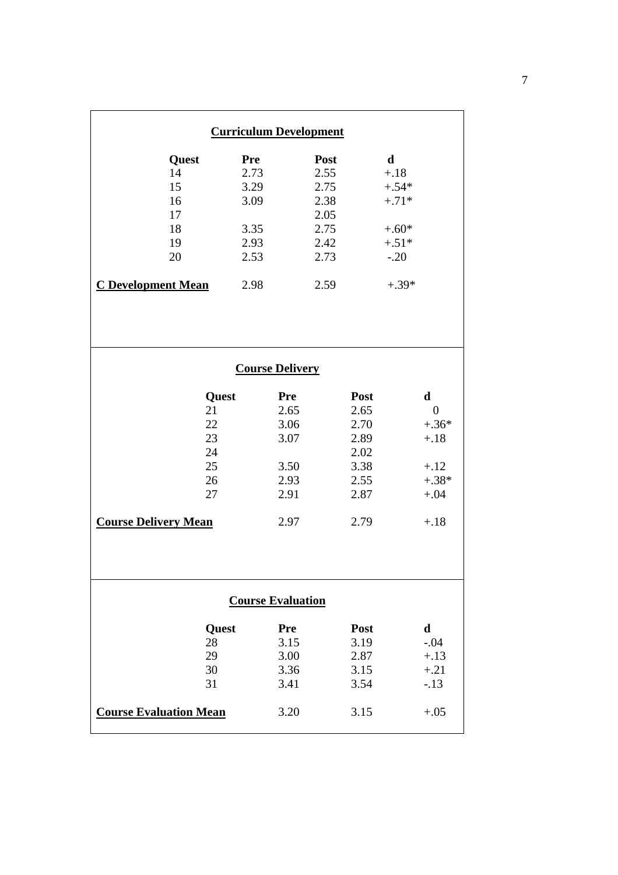| <b>Curriculum Development</b> |       |            |      |      |             |                  |  |  |  |
|-------------------------------|-------|------------|------|------|-------------|------------------|--|--|--|
| <b>Quest</b>                  | Pre   |            | Post |      | $\mathbf d$ |                  |  |  |  |
| 14                            | 2.73  |            | 2.55 |      | $+.18$      |                  |  |  |  |
| 15                            | 3.29  |            | 2.75 |      | $+.54*$     |                  |  |  |  |
| 16                            | 3.09  |            | 2.38 |      | $+.71*$     |                  |  |  |  |
| 17                            |       |            | 2.05 |      |             |                  |  |  |  |
| 18                            | 3.35  |            | 2.75 |      | $+.60*$     |                  |  |  |  |
| 19                            | 2.93  |            | 2.42 |      | $+.51*$     |                  |  |  |  |
| 20                            | 2.53  |            | 2.73 |      | $-.20$      |                  |  |  |  |
|                               |       |            |      |      |             |                  |  |  |  |
| <b>C</b> Development Mean     | 2.98  |            | 2.59 |      | $+.39*$     |                  |  |  |  |
|                               |       |            |      |      |             |                  |  |  |  |
| <b>Course Delivery</b>        |       |            |      |      |             |                  |  |  |  |
|                               |       |            |      |      |             |                  |  |  |  |
|                               | Quest | <b>Pre</b> |      | Post |             | $\mathbf d$      |  |  |  |
|                               | 21    | 2.65       |      | 2.65 |             | $\boldsymbol{0}$ |  |  |  |
|                               | 22    | 3.06       |      | 2.70 |             | $+.36*$          |  |  |  |
|                               | 23    | 3.07       |      | 2.89 |             | $+.18$           |  |  |  |
|                               | 24    |            |      | 2.02 |             |                  |  |  |  |
|                               | 25    | 3.50       |      | 3.38 |             | $+.12$           |  |  |  |
|                               | 26    | 2.93       |      | 2.55 |             | $+.38*$          |  |  |  |
|                               | 27    | 2.91       |      | 2.87 |             | $+.04$           |  |  |  |
|                               |       |            |      |      |             |                  |  |  |  |
| <b>Course Delivery Mean</b>   |       | 2.97       |      | 2.79 |             | $+.18$           |  |  |  |
|                               |       |            |      |      |             |                  |  |  |  |
|                               |       |            |      |      |             |                  |  |  |  |
|                               |       |            |      |      |             |                  |  |  |  |
|                               |       |            |      |      |             |                  |  |  |  |
| <b>Course Evaluation</b>      |       |            |      |      |             |                  |  |  |  |
|                               | Quest | Pre        |      | Post |             | d                |  |  |  |
|                               | 28    | 3.15       |      | 3.19 |             | $-.04$           |  |  |  |
|                               | 29    | 3.00       |      | 2.87 |             | $+.13$           |  |  |  |
|                               | 30    | 3.36       |      | 3.15 |             | $+.21$           |  |  |  |
|                               | 31    | 3.41       |      | 3.54 |             | $-.13$           |  |  |  |
| <b>Course Evaluation Mean</b> |       | 3.20       |      | 3.15 |             | $+.05$           |  |  |  |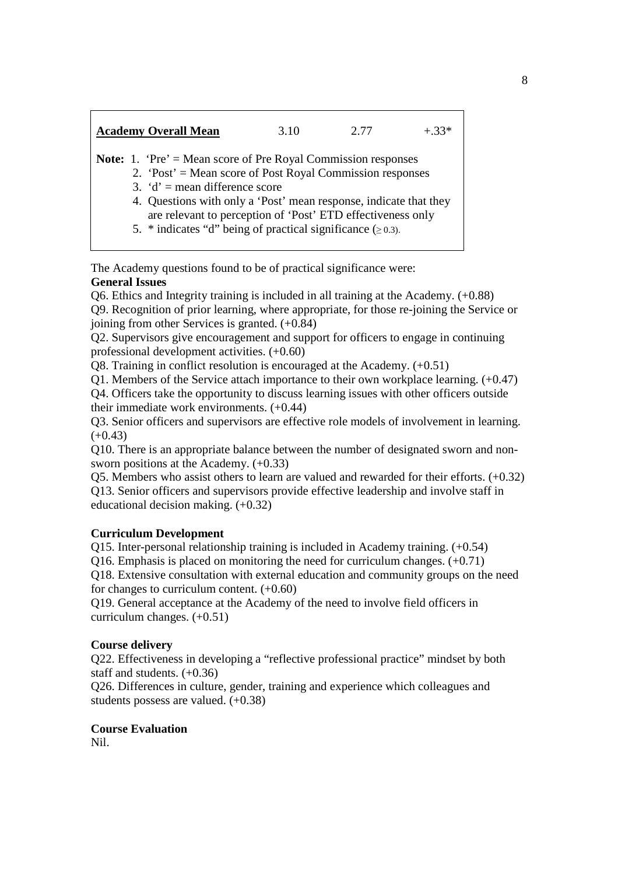| <b>Academy Overall Mean</b>                                          | 3.10 | 2.77 | $+33*$ |
|----------------------------------------------------------------------|------|------|--------|
| <b>Note:</b> 1. 'Pre' = Mean score of Pre Royal Commission responses |      |      |        |
| 2. 'Post' = Mean score of Post Royal Commission responses            |      |      |        |
| 3. $d'$ = mean difference score                                      |      |      |        |
| 4. Questions with only a 'Post' mean response, indicate that they    |      |      |        |
| are relevant to perception of 'Post' ETD effectiveness only          |      |      |        |
| 5. * indicates "d" being of practical significance $(\geq 0.3)$ .    |      |      |        |

The Academy questions found to be of practical significance were: **General Issues** 

Q6. Ethics and Integrity training is included in all training at the Academy. (+0.88) Q9. Recognition of prior learning, where appropriate, for those re-joining the Service or joining from other Services is granted. (+0.84)

Q2. Supervisors give encouragement and support for officers to engage in continuing professional development activities. (+0.60)

Q8. Training in conflict resolution is encouraged at the Academy. (+0.51)

Q1. Members of the Service attach importance to their own workplace learning. (+0.47)

Q4. Officers take the opportunity to discuss learning issues with other officers outside their immediate work environments. (+0.44)

Q3. Senior officers and supervisors are effective role models of involvement in learning.  $(+0.43)$ 

Q10. There is an appropriate balance between the number of designated sworn and nonsworn positions at the Academy. (+0.33)

Q5. Members who assist others to learn are valued and rewarded for their efforts. (+0.32) Q13. Senior officers and supervisors provide effective leadership and involve staff in educational decision making. (+0.32)

### **Curriculum Development**

Q15. Inter-personal relationship training is included in Academy training. (+0.54)

Q16. Emphasis is placed on monitoring the need for curriculum changes. (+0.71)

Q18. Extensive consultation with external education and community groups on the need for changes to curriculum content.  $(+0.60)$ 

Q19. General acceptance at the Academy of the need to involve field officers in curriculum changes. (+0.51)

### **Course delivery**

Q22. Effectiveness in developing a "reflective professional practice" mindset by both staff and students. (+0.36)

Q26. Differences in culture, gender, training and experience which colleagues and students possess are valued. (+0.38)

## **Course Evaluation**

Nil.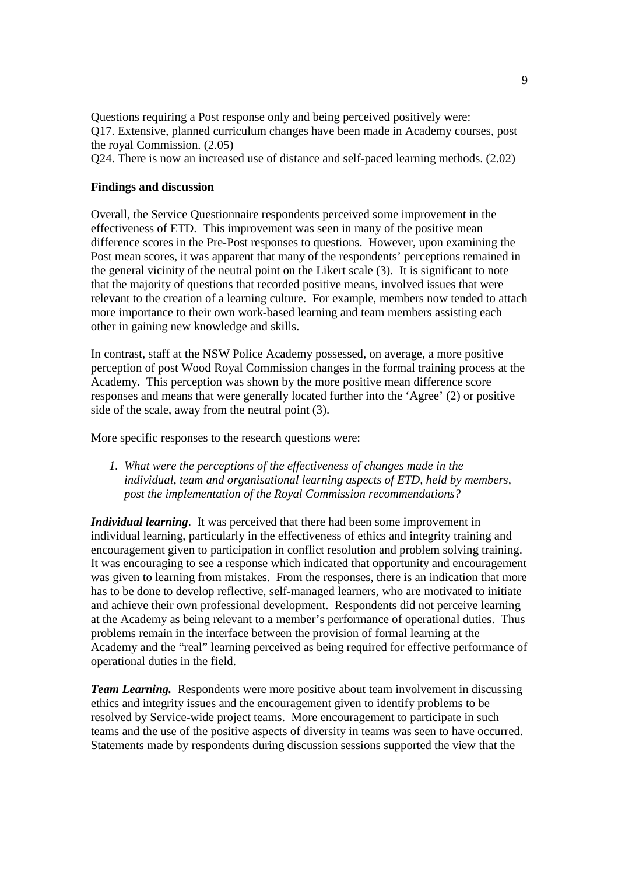Questions requiring a Post response only and being perceived positively were: Q17. Extensive, planned curriculum changes have been made in Academy courses, post the royal Commission. (2.05)

Q24. There is now an increased use of distance and self-paced learning methods. (2.02)

#### **Findings and discussion**

Overall, the Service Questionnaire respondents perceived some improvement in the effectiveness of ETD. This improvement was seen in many of the positive mean difference scores in the Pre-Post responses to questions. However, upon examining the Post mean scores, it was apparent that many of the respondents' perceptions remained in the general vicinity of the neutral point on the Likert scale (3). It is significant to note that the majority of questions that recorded positive means, involved issues that were relevant to the creation of a learning culture. For example, members now tended to attach more importance to their own work-based learning and team members assisting each other in gaining new knowledge and skills.

In contrast, staff at the NSW Police Academy possessed, on average, a more positive perception of post Wood Royal Commission changes in the formal training process at the Academy. This perception was shown by the more positive mean difference score responses and means that were generally located further into the 'Agree' (2) or positive side of the scale, away from the neutral point (3).

More specific responses to the research questions were:

*1. What were the perceptions of the effectiveness of changes made in the individual, team and organisational learning aspects of ETD, held by members, post the implementation of the Royal Commission recommendations?* 

*Individual learning*. It was perceived that there had been some improvement in individual learning, particularly in the effectiveness of ethics and integrity training and encouragement given to participation in conflict resolution and problem solving training. It was encouraging to see a response which indicated that opportunity and encouragement was given to learning from mistakes. From the responses, there is an indication that more has to be done to develop reflective, self-managed learners, who are motivated to initiate and achieve their own professional development. Respondents did not perceive learning at the Academy as being relevant to a member's performance of operational duties. Thus problems remain in the interface between the provision of formal learning at the Academy and the "real" learning perceived as being required for effective performance of operational duties in the field.

*Team Learning.* Respondents were more positive about team involvement in discussing ethics and integrity issues and the encouragement given to identify problems to be resolved by Service-wide project teams. More encouragement to participate in such teams and the use of the positive aspects of diversity in teams was seen to have occurred. Statements made by respondents during discussion sessions supported the view that the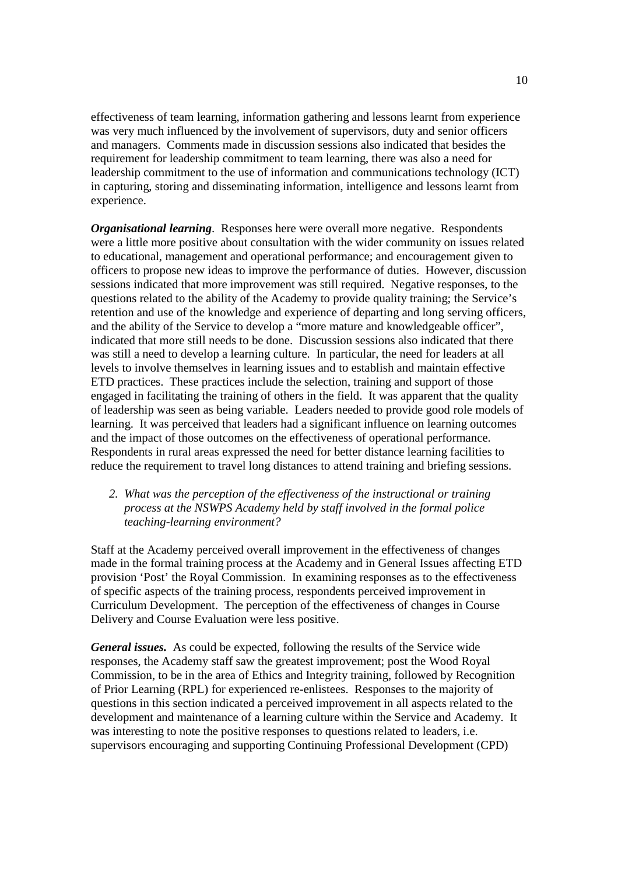effectiveness of team learning, information gathering and lessons learnt from experience was very much influenced by the involvement of supervisors, duty and senior officers and managers. Comments made in discussion sessions also indicated that besides the requirement for leadership commitment to team learning, there was also a need for leadership commitment to the use of information and communications technology (ICT) in capturing, storing and disseminating information, intelligence and lessons learnt from experience.

*Organisational learning.* Responses here were overall more negative. Respondents were a little more positive about consultation with the wider community on issues related to educational, management and operational performance; and encouragement given to officers to propose new ideas to improve the performance of duties. However, discussion sessions indicated that more improvement was still required. Negative responses, to the questions related to the ability of the Academy to provide quality training; the Service's retention and use of the knowledge and experience of departing and long serving officers, and the ability of the Service to develop a "more mature and knowledgeable officer", indicated that more still needs to be done. Discussion sessions also indicated that there was still a need to develop a learning culture. In particular, the need for leaders at all levels to involve themselves in learning issues and to establish and maintain effective ETD practices. These practices include the selection, training and support of those engaged in facilitating the training of others in the field. It was apparent that the quality of leadership was seen as being variable. Leaders needed to provide good role models of learning. It was perceived that leaders had a significant influence on learning outcomes and the impact of those outcomes on the effectiveness of operational performance. Respondents in rural areas expressed the need for better distance learning facilities to reduce the requirement to travel long distances to attend training and briefing sessions.

### *2. What was the perception of the effectiveness of the instructional or training process at the NSWPS Academy held by staff involved in the formal police teaching-learning environment?*

Staff at the Academy perceived overall improvement in the effectiveness of changes made in the formal training process at the Academy and in General Issues affecting ETD provision 'Post' the Royal Commission. In examining responses as to the effectiveness of specific aspects of the training process, respondents perceived improvement in Curriculum Development. The perception of the effectiveness of changes in Course Delivery and Course Evaluation were less positive.

*General issues.*As could be expected, following the results of the Service wide responses, the Academy staff saw the greatest improvement; post the Wood Royal Commission, to be in the area of Ethics and Integrity training, followed by Recognition of Prior Learning (RPL) for experienced re-enlistees. Responses to the majority of questions in this section indicated a perceived improvement in all aspects related to the development and maintenance of a learning culture within the Service and Academy. It was interesting to note the positive responses to questions related to leaders, i.e. supervisors encouraging and supporting Continuing Professional Development (CPD)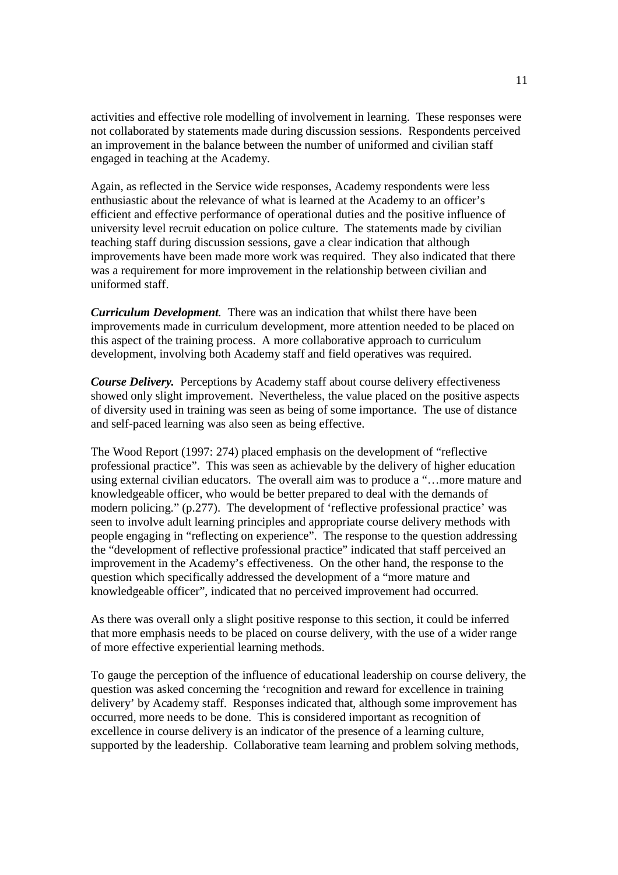activities and effective role modelling of involvement in learning. These responses were not collaborated by statements made during discussion sessions. Respondents perceived an improvement in the balance between the number of uniformed and civilian staff engaged in teaching at the Academy.

Again, as reflected in the Service wide responses, Academy respondents were less enthusiastic about the relevance of what is learned at the Academy to an officer's efficient and effective performance of operational duties and the positive influence of university level recruit education on police culture. The statements made by civilian teaching staff during discussion sessions, gave a clear indication that although improvements have been made more work was required. They also indicated that there was a requirement for more improvement in the relationship between civilian and uniformed staff.

*Curriculum Development.* There was an indication that whilst there have been improvements made in curriculum development, more attention needed to be placed on this aspect of the training process. A more collaborative approach to curriculum development, involving both Academy staff and field operatives was required.

*Course Delivery.* Perceptions by Academy staff about course delivery effectiveness showed only slight improvement. Nevertheless, the value placed on the positive aspects of diversity used in training was seen as being of some importance. The use of distance and self-paced learning was also seen as being effective.

The Wood Report (1997: 274) placed emphasis on the development of "reflective professional practice". This was seen as achievable by the delivery of higher education using external civilian educators. The overall aim was to produce a "…more mature and knowledgeable officer, who would be better prepared to deal with the demands of modern policing." (p.277). The development of 'reflective professional practice' was seen to involve adult learning principles and appropriate course delivery methods with people engaging in "reflecting on experience". The response to the question addressing the "development of reflective professional practice" indicated that staff perceived an improvement in the Academy's effectiveness. On the other hand, the response to the question which specifically addressed the development of a "more mature and knowledgeable officer", indicated that no perceived improvement had occurred.

As there was overall only a slight positive response to this section, it could be inferred that more emphasis needs to be placed on course delivery, with the use of a wider range of more effective experiential learning methods.

To gauge the perception of the influence of educational leadership on course delivery, the question was asked concerning the 'recognition and reward for excellence in training delivery' by Academy staff. Responses indicated that, although some improvement has occurred, more needs to be done. This is considered important as recognition of excellence in course delivery is an indicator of the presence of a learning culture, supported by the leadership. Collaborative team learning and problem solving methods,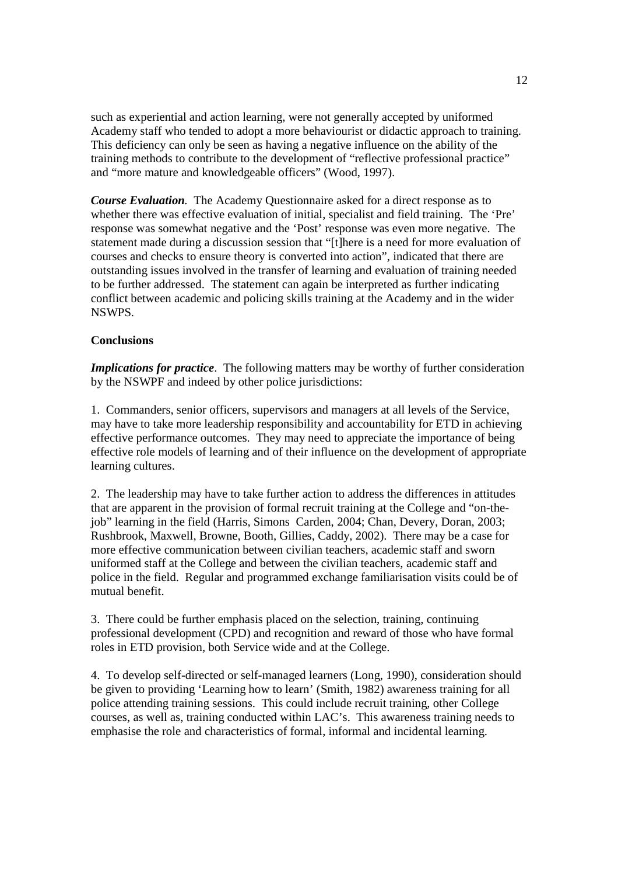such as experiential and action learning, were not generally accepted by uniformed Academy staff who tended to adopt a more behaviourist or didactic approach to training. This deficiency can only be seen as having a negative influence on the ability of the training methods to contribute to the development of "reflective professional practice" and "more mature and knowledgeable officers" (Wood, 1997).

*Course Evaluation.* The Academy Questionnaire asked for a direct response as to whether there was effective evaluation of initial, specialist and field training. The 'Pre' response was somewhat negative and the 'Post' response was even more negative. The statement made during a discussion session that "[t]here is a need for more evaluation of courses and checks to ensure theory is converted into action", indicated that there are outstanding issues involved in the transfer of learning and evaluation of training needed to be further addressed. The statement can again be interpreted as further indicating conflict between academic and policing skills training at the Academy and in the wider NSWPS.

### **Conclusions**

*Implications for practice*. The following matters may be worthy of further consideration by the NSWPF and indeed by other police jurisdictions:

1. Commanders, senior officers, supervisors and managers at all levels of the Service, may have to take more leadership responsibility and accountability for ETD in achieving effective performance outcomes. They may need to appreciate the importance of being effective role models of learning and of their influence on the development of appropriate learning cultures.

2. The leadership may have to take further action to address the differences in attitudes that are apparent in the provision of formal recruit training at the College and "on-thejob" learning in the field (Harris, Simons Carden, 2004; Chan, Devery, Doran, 2003; Rushbrook, Maxwell, Browne, Booth, Gillies, Caddy, 2002). There may be a case for more effective communication between civilian teachers, academic staff and sworn uniformed staff at the College and between the civilian teachers, academic staff and police in the field. Regular and programmed exchange familiarisation visits could be of mutual benefit.

3. There could be further emphasis placed on the selection, training, continuing professional development (CPD) and recognition and reward of those who have formal roles in ETD provision, both Service wide and at the College.

4. To develop self-directed or self-managed learners (Long, 1990), consideration should be given to providing 'Learning how to learn' (Smith, 1982) awareness training for all police attending training sessions. This could include recruit training, other College courses, as well as, training conducted within LAC's. This awareness training needs to emphasise the role and characteristics of formal, informal and incidental learning.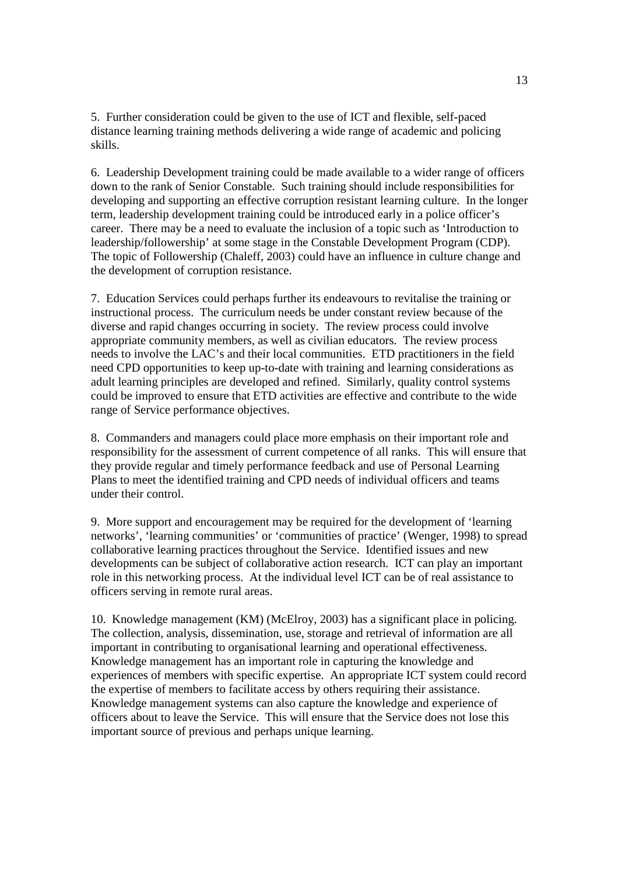5. Further consideration could be given to the use of ICT and flexible, self-paced distance learning training methods delivering a wide range of academic and policing skills.

6. Leadership Development training could be made available to a wider range of officers down to the rank of Senior Constable. Such training should include responsibilities for developing and supporting an effective corruption resistant learning culture. In the longer term, leadership development training could be introduced early in a police officer's career. There may be a need to evaluate the inclusion of a topic such as 'Introduction to leadership/followership' at some stage in the Constable Development Program (CDP). The topic of Followership (Chaleff, 2003) could have an influence in culture change and the development of corruption resistance.

7. Education Services could perhaps further its endeavours to revitalise the training or instructional process. The curriculum needs be under constant review because of the diverse and rapid changes occurring in society. The review process could involve appropriate community members, as well as civilian educators. The review process needs to involve the LAC's and their local communities. ETD practitioners in the field need CPD opportunities to keep up-to-date with training and learning considerations as adult learning principles are developed and refined. Similarly, quality control systems could be improved to ensure that ETD activities are effective and contribute to the wide range of Service performance objectives.

8. Commanders and managers could place more emphasis on their important role and responsibility for the assessment of current competence of all ranks. This will ensure that they provide regular and timely performance feedback and use of Personal Learning Plans to meet the identified training and CPD needs of individual officers and teams under their control.

9. More support and encouragement may be required for the development of 'learning networks', 'learning communities' or 'communities of practice' (Wenger, 1998) to spread collaborative learning practices throughout the Service. Identified issues and new developments can be subject of collaborative action research. ICT can play an important role in this networking process. At the individual level ICT can be of real assistance to officers serving in remote rural areas.

10. Knowledge management (KM) (McElroy, 2003) has a significant place in policing. The collection, analysis, dissemination, use, storage and retrieval of information are all important in contributing to organisational learning and operational effectiveness. Knowledge management has an important role in capturing the knowledge and experiences of members with specific expertise. An appropriate ICT system could record the expertise of members to facilitate access by others requiring their assistance. Knowledge management systems can also capture the knowledge and experience of officers about to leave the Service. This will ensure that the Service does not lose this important source of previous and perhaps unique learning.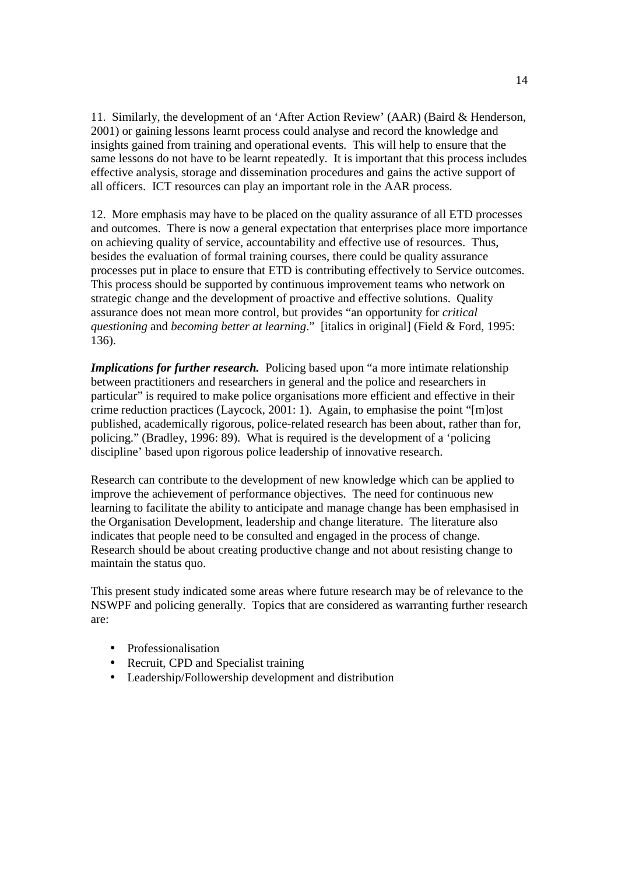11. Similarly, the development of an 'After Action Review' (AAR) (Baird & Henderson, 2001) or gaining lessons learnt process could analyse and record the knowledge and insights gained from training and operational events. This will help to ensure that the same lessons do not have to be learnt repeatedly. It is important that this process includes effective analysis, storage and dissemination procedures and gains the active support of all officers. ICT resources can play an important role in the AAR process.

12. More emphasis may have to be placed on the quality assurance of all ETD processes and outcomes. There is now a general expectation that enterprises place more importance on achieving quality of service, accountability and effective use of resources. Thus, besides the evaluation of formal training courses, there could be quality assurance processes put in place to ensure that ETD is contributing effectively to Service outcomes. This process should be supported by continuous improvement teams who network on strategic change and the development of proactive and effective solutions. Quality assurance does not mean more control, but provides "an opportunity for *critical questioning* and *becoming better at learning*." [italics in original] (Field & Ford, 1995: 136).

*Implications for further research.* Policing based upon "a more intimate relationship between practitioners and researchers in general and the police and researchers in particular" is required to make police organisations more efficient and effective in their crime reduction practices (Laycock, 2001: 1). Again, to emphasise the point "[m]ost published, academically rigorous, police-related research has been about, rather than for, policing." (Bradley, 1996: 89). What is required is the development of a 'policing discipline' based upon rigorous police leadership of innovative research.

Research can contribute to the development of new knowledge which can be applied to improve the achievement of performance objectives. The need for continuous new learning to facilitate the ability to anticipate and manage change has been emphasised in the Organisation Development, leadership and change literature. The literature also indicates that people need to be consulted and engaged in the process of change. Research should be about creating productive change and not about resisting change to maintain the status quo.

This present study indicated some areas where future research may be of relevance to the NSWPF and policing generally. Topics that are considered as warranting further research are:

- Professionalisation
- Recruit, CPD and Specialist training
- Leadership/Followership development and distribution